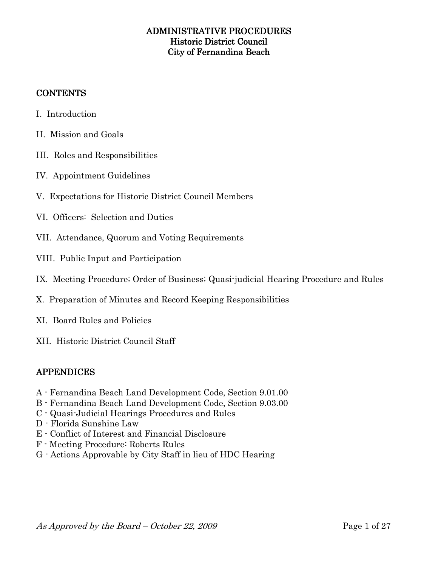## **CONTENTS**

- I. Introduction
- II. Mission and Goals
- III. Roles and Responsibilities
- IV. Appointment Guidelines
- V. Expectations for Historic District Council Members
- VI. Officers: Selection and Duties
- VII. Attendance, Quorum and Voting Requirements
- VIII. Public Input and Participation
- IX. Meeting Procedure; Order of Business; Quasi-judicial Hearing Procedure and Rules
- X. Preparation of Minutes and Record Keeping Responsibilities
- XI. Board Rules and Policies
- XII. Historic District Council Staff

## APPENDICES APPENDICES

- A Fernandina Beach Land Development Code, Section 9.01.00
- B Fernandina Beach Land Development Code, Section 9.03.00
- C Quasi-Judicial Hearings Procedures and Rules
- D Florida Sunshine Law
- E Conflict of Interest and Financial Disclosure
- F Meeting Procedure: Roberts Rules
- G Actions Approvable by City Staff in lieu of HDC Hearing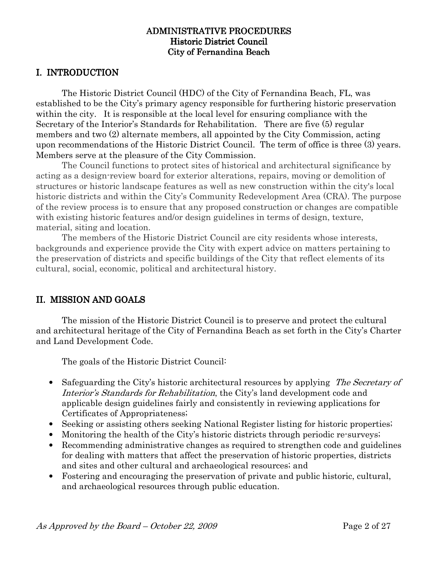## I. INTRODUCTION

 The Historic District Council (HDC) of the City of Fernandina Beach, FL, was established to be the City's primary agency responsible for furthering historic preservation within the city. It is responsible at the local level for ensuring compliance with the Secretary of the Interior's Standards for Rehabilitation. There are five (5) regular members and two (2) alternate members, all appointed by the City Commission, acting upon recommendations of the Historic District Council. The term of office is three (3) years. Members serve at the pleasure of the City Commission.

The Council functions to protect sites of historical and architectural significance by acting as a design-review board for exterior alterations, repairs, moving or demolition of structures or historic landscape features as well as new construction within the city's local historic districts and within the City's Community Redevelopment Area (CRA). The purpose of the review process is to ensure that any proposed construction or changes are compatible with existing historic features and/or design guidelines in terms of design, texture, material, siting and location.

The members of the Historic District Council are city residents whose interests, backgrounds and experience provide the City with expert advice on matters pertaining to the preservation of districts and specific buildings of the City that reflect elements of its cultural, social, economic, political and architectural history.

## II. MISSION AND GOALS

 The mission of the Historic District Council is to preserve and protect the cultural and architectural heritage of the City of Fernandina Beach as set forth in the City's Charter and Land Development Code.

The goals of the Historic District Council:

- Safeguarding the City's historic architectural resources by applying The Secretary of Interior's Standards for Rehabilitation, the City's land development code and applicable design guidelines fairly and consistently in reviewing applications for Certificates of Appropriateness;
- Seeking or assisting others seeking National Register listing for historic properties;
- Monitoring the health of the City's historic districts through periodic re-surveys;
- Recommending administrative changes as required to strengthen code and guidelines for dealing with matters that affect the preservation of historic properties, districts and sites and other cultural and archaeological resources; and
- Fostering and encouraging the preservation of private and public historic, cultural, and archaeological resources through public education.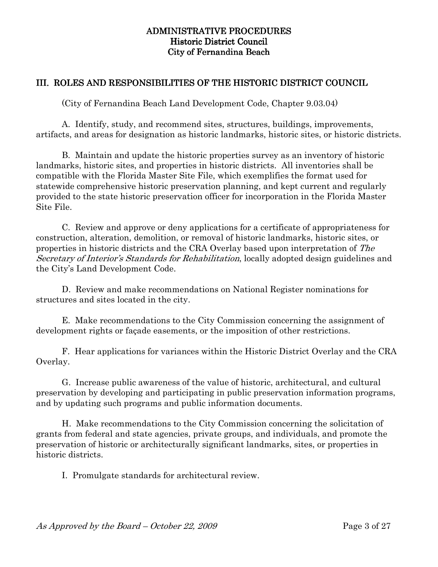## III. ROLES AND RESPONSIBILITIES OF THE HISTORIC DISTRICT COUNCIL

(City of Fernandina Beach Land Development Code, Chapter 9.03.04)

 A. Identify, study, and recommend sites, structures, buildings, improvements, artifacts, and areas for designation as historic landmarks, historic sites, or historic districts.

 B. Maintain and update the historic properties survey as an inventory of historic landmarks, historic sites, and properties in historic districts. All inventories shall be compatible with the Florida Master Site File, which exemplifies the format used for statewide comprehensive historic preservation planning, and kept current and regularly provided to the state historic preservation officer for incorporation in the Florida Master Site File.

 C. Review and approve or deny applications for a certificate of appropriateness for construction, alteration, demolition, or removal of historic landmarks, historic sites, or properties in historic districts and the CRA Overlay based upon interpretation of The Secretary of Interior's Standards for Rehabilitation, locally adopted design guidelines and the City's Land Development Code.

 D. Review and make recommendations on National Register nominations for structures and sites located in the city.

 E. Make recommendations to the City Commission concerning the assignment of development rights or façade easements, or the imposition of other restrictions.

 F. Hear applications for variances within the Historic District Overlay and the CRA Overlay.

 G. Increase public awareness of the value of historic, architectural, and cultural preservation by developing and participating in public preservation information programs, and by updating such programs and public information documents.

 H. Make recommendations to the City Commission concerning the solicitation of grants from federal and state agencies, private groups, and individuals, and promote the preservation of historic or architecturally significant landmarks, sites, or properties in historic districts.

I. Promulgate standards for architectural review.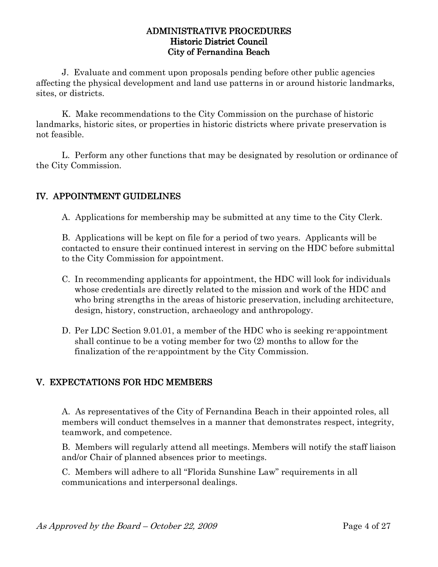J. Evaluate and comment upon proposals pending before other public agencies affecting the physical development and land use patterns in or around historic landmarks, sites, or districts.

K. Make recommendations to the City Commission on the purchase of historic landmarks, historic sites, or properties in historic districts where private preservation is not feasible.

L. Perform any other functions that may be designated by resolution or ordinance of the City Commission.

# IV. APPOINTMENT GUIDELINES

A. Applications for membership may be submitted at any time to the City Clerk.

B. Applications will be kept on file for a period of two years. Applicants will be contacted to ensure their continued interest in serving on the HDC before submittal to the City Commission for appointment.

- C. In recommending applicants for appointment, the HDC will look for individuals whose credentials are directly related to the mission and work of the HDC and who bring strengths in the areas of historic preservation, including architecture, design, history, construction, archaeology and anthropology.
- D. Per LDC Section 9.01.01, a member of the HDC who is seeking re-appointment shall continue to be a voting member for two (2) months to allow for the finalization of the re-appointment by the City Commission.

## V. EXPECTATIONS FOR HDC MEMBERS

A. As representatives of the City of Fernandina Beach in their appointed roles, all members will conduct themselves in a manner that demonstrates respect, integrity, teamwork, and competence.

B. Members will regularly attend all meetings. Members will notify the staff liaison and/or Chair of planned absences prior to meetings.

C. Members will adhere to all "Florida Sunshine Law" requirements in all communications and interpersonal dealings.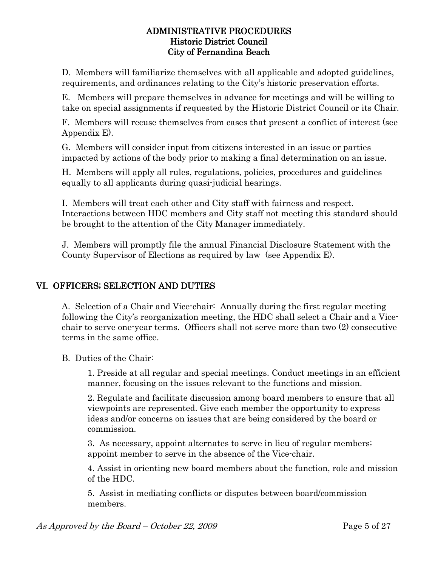D. Members will familiarize themselves with all applicable and adopted guidelines, requirements, and ordinances relating to the City's historic preservation efforts.

E. Members will prepare themselves in advance for meetings and will be willing to take on special assignments if requested by the Historic District Council or its Chair.

F. Members will recuse themselves from cases that present a conflict of interest (see Appendix E).

G. Members will consider input from citizens interested in an issue or parties impacted by actions of the body prior to making a final determination on an issue.

H. Members will apply all rules, regulations, policies, procedures and guidelines equally to all applicants during quasi-judicial hearings.

I. Members will treat each other and City staff with fairness and respect. Interactions between HDC members and City staff not meeting this standard should be brought to the attention of the City Manager immediately.

J. Members will promptly file the annual Financial Disclosure Statement with the County Supervisor of Elections as required by law (see Appendix E).

# VI. OFFICERS; SELECTION AND DUTIES

A. Selection of a Chair and Vice-chair: Annually during the first regular meeting following the City's reorganization meeting, the HDC shall select a Chair and a Vicechair to serve one-year terms. Officers shall not serve more than two (2) consecutive terms in the same office.

B. Duties of the Chair:

1. Preside at all regular and special meetings. Conduct meetings in an efficient manner, focusing on the issues relevant to the functions and mission.

2. Regulate and facilitate discussion among board members to ensure that all viewpoints are represented. Give each member the opportunity to express ideas and/or concerns on issues that are being considered by the board or commission.

3. As necessary, appoint alternates to serve in lieu of regular members; appoint member to serve in the absence of the Vice-chair.

4. Assist in orienting new board members about the function, role and mission of the HDC.

5. Assist in mediating conflicts or disputes between board/commission members.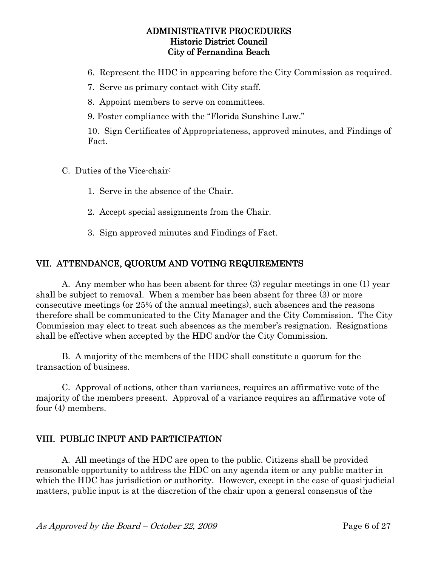- 6. Represent the HDC in appearing before the City Commission as required.
- 7. Serve as primary contact with City staff.
- 8. Appoint members to serve on committees.
- 9. Foster compliance with the "Florida Sunshine Law."

10. Sign Certificates of Appropriateness, approved minutes, and Findings of Fact.

- C. Duties of the Vice-chair:
	- 1. Serve in the absence of the Chair.
	- 2. Accept special assignments from the Chair.
	- 3. Sign approved minutes and Findings of Fact.

# VII. ATTENDANCE, QUORUM AND VOTING REQUIREMENTS

 A. Any member who has been absent for three (3) regular meetings in one (1) year shall be subject to removal. When a member has been absent for three (3) or more consecutive meetings (or 25% of the annual meetings), such absences and the reasons therefore shall be communicated to the City Manager and the City Commission. The City Commission may elect to treat such absences as the member's resignation. Resignations shall be effective when accepted by the HDC and/or the City Commission.

 B. A majority of the members of the HDC shall constitute a quorum for the transaction of business.

 C. Approval of actions, other than variances, requires an affirmative vote of the majority of the members present. Approval of a variance requires an affirmative vote of four (4) members.

## VIII. PUBLIC INPUT AND PARTICIPATION

 A. All meetings of the HDC are open to the public. Citizens shall be provided reasonable opportunity to address the HDC on any agenda item or any public matter in which the HDC has jurisdiction or authority. However, except in the case of quasi-judicial matters, public input is at the discretion of the chair upon a general consensus of the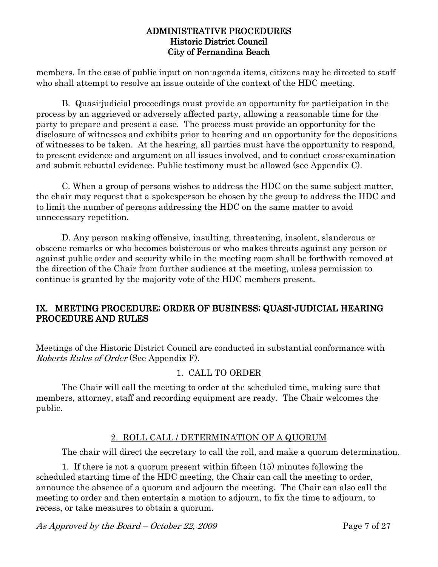members. In the case of public input on non-agenda items, citizens may be directed to staff who shall attempt to resolve an issue outside of the context of the HDC meeting.

 B. Quasi-judicial proceedings must provide an opportunity for participation in the process by an aggrieved or adversely affected party, allowing a reasonable time for the party to prepare and present a case. The process must provide an opportunity for the disclosure of witnesses and exhibits prior to hearing and an opportunity for the depositions of witnesses to be taken. At the hearing, all parties must have the opportunity to respond, to present evidence and argument on all issues involved, and to conduct cross-examination and submit rebuttal evidence. Public testimony must be allowed (see Appendix C).

 C. When a group of persons wishes to address the HDC on the same subject matter, the chair may request that a spokesperson be chosen by the group to address the HDC and to limit the number of persons addressing the HDC on the same matter to avoid unnecessary repetition.

 D. Any person making offensive, insulting, threatening, insolent, slanderous or obscene remarks or who becomes boisterous or who makes threats against any person or against public order and security while in the meeting room shall be forthwith removed at the direction of the Chair from further audience at the meeting, unless permission to continue is granted by the majority vote of the HDC members present.

## IX. MEETING PROCEDURE; ORDER OF BUSINESS; QUASI-JUDICIAL HEARING PROCEDURE AND RULES

Meetings of the Historic District Council are conducted in substantial conformance with Roberts Rules of Order (See Appendix F).

# 1. CALL TO ORDER

 The Chair will call the meeting to order at the scheduled time, making sure that members, attorney, staff and recording equipment are ready. The Chair welcomes the public.

## 2. ROLL CALL / DETERMINATION OF A QUORUM

The chair will direct the secretary to call the roll, and make a quorum determination.

 1. If there is not a quorum present within fifteen (15) minutes following the scheduled starting time of the HDC meeting, the Chair can call the meeting to order, announce the absence of a quorum and adjourn the meeting. The Chair can also call the meeting to order and then entertain a motion to adjourn, to fix the time to adjourn, to recess, or take measures to obtain a quorum.

As Approved by the Board – October 22, 2009 Page 7 of 27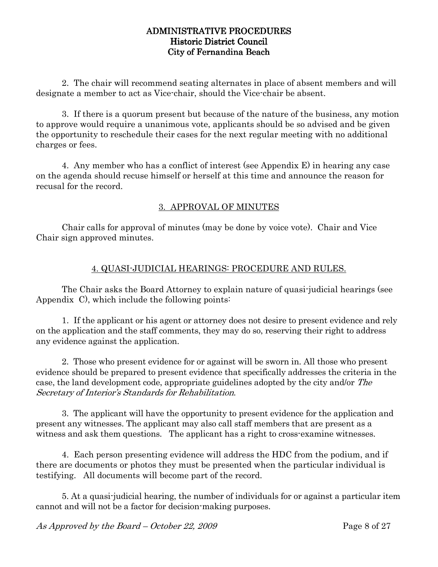2. The chair will recommend seating alternates in place of absent members and will designate a member to act as Vice-chair, should the Vice-chair be absent.

3. If there is a quorum present but because of the nature of the business, any motion to approve would require a unanimous vote, applicants should be so advised and be given the opportunity to reschedule their cases for the next regular meeting with no additional charges or fees.

4. Any member who has a conflict of interest (see Appendix E) in hearing any case on the agenda should recuse himself or herself at this time and announce the reason for recusal for the record.

# 3. APPROVAL OF MINUTES

Chair calls for approval of minutes (may be done by voice vote). Chair and Vice Chair sign approved minutes.

## 4. QUASI-JUDICIAL HEARINGS: PROCEDURE AND RULES.

The Chair asks the Board Attorney to explain nature of quasi-judicial hearings (see Appendix C), which include the following points:

 1. If the applicant or his agent or attorney does not desire to present evidence and rely on the application and the staff comments, they may do so, reserving their right to address any evidence against the application.

 2. Those who present evidence for or against will be sworn in. All those who present evidence should be prepared to present evidence that specifically addresses the criteria in the case, the land development code, appropriate guidelines adopted by the city and/or The Secretary of Interior's Standards for Rehabilitation.

 3. The applicant will have the opportunity to present evidence for the application and present any witnesses. The applicant may also call staff members that are present as a witness and ask them questions. The applicant has a right to cross-examine witnesses.

 4. Each person presenting evidence will address the HDC from the podium, and if there are documents or photos they must be presented when the particular individual is testifying. All documents will become part of the record.

 5. At a quasi-judicial hearing, the number of individuals for or against a particular item cannot and will not be a factor for decision-making purposes.

As Approved by the Board – October 22, 2009 Page 8 of 27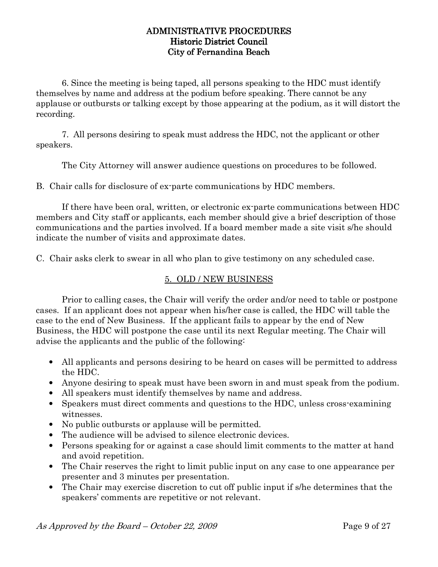6. Since the meeting is being taped, all persons speaking to the HDC must identify themselves by name and address at the podium before speaking. There cannot be any applause or outbursts or talking except by those appearing at the podium, as it will distort the recording.

 7. All persons desiring to speak must address the HDC, not the applicant or other speakers.

The City Attorney will answer audience questions on procedures to be followed.

B. Chair calls for disclosure of ex-parte communications by HDC members.

 If there have been oral, written, or electronic ex-parte communications between HDC members and City staff or applicants, each member should give a brief description of those communications and the parties involved. If a board member made a site visit s/he should indicate the number of visits and approximate dates.

C. Chair asks clerk to swear in all who plan to give testimony on any scheduled case.

## 5. OLD / NEW BUSINESS

 Prior to calling cases, the Chair will verify the order and/or need to table or postpone cases. If an applicant does not appear when his/her case is called, the HDC will table the case to the end of New Business. If the applicant fails to appear by the end of New Business, the HDC will postpone the case until its next Regular meeting. The Chair will advise the applicants and the public of the following:

- All applicants and persons desiring to be heard on cases will be permitted to address the HDC.
- Anyone desiring to speak must have been sworn in and must speak from the podium.
- All speakers must identify themselves by name and address.
- Speakers must direct comments and questions to the HDC, unless cross-examining witnesses.
- No public outbursts or applause will be permitted.
- The audience will be advised to silence electronic devices.
- Persons speaking for or against a case should limit comments to the matter at hand and avoid repetition.
- The Chair reserves the right to limit public input on any case to one appearance per presenter and 3 minutes per presentation.
- The Chair may exercise discretion to cut off public input if s/he determines that the speakers' comments are repetitive or not relevant.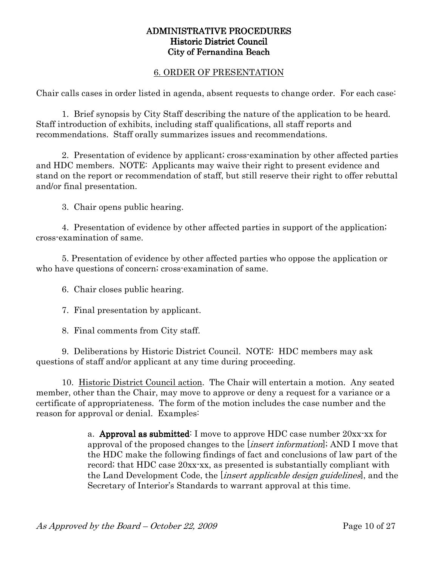#### 6. ORDER OF PRESENTATION

Chair calls cases in order listed in agenda, absent requests to change order. For each case:

 1. Brief synopsis by City Staff describing the nature of the application to be heard. Staff introduction of exhibits, including staff qualifications, all staff reports and recommendations. Staff orally summarizes issues and recommendations.

 2. Presentation of evidence by applicant; cross-examination by other affected parties and HDC members. NOTE: Applicants may waive their right to present evidence and stand on the report or recommendation of staff, but still reserve their right to offer rebuttal and/or final presentation.

3. Chair opens public hearing.

 4. Presentation of evidence by other affected parties in support of the application; cross-examination of same.

 5. Presentation of evidence by other affected parties who oppose the application or who have questions of concern; cross-examination of same.

6. Chair closes public hearing.

7. Final presentation by applicant.

8. Final comments from City staff.

 9. Deliberations by Historic District Council. NOTE: HDC members may ask questions of staff and/or applicant at any time during proceeding.

 10. Historic District Council action. The Chair will entertain a motion. Any seated member, other than the Chair, may move to approve or deny a request for a variance or a certificate of appropriateness. The form of the motion includes the case number and the reason for approval or denial. Examples:

> a. Approval as submitted: I move to approve HDC case number  $20xx$ -xx for approval of the proposed changes to the *linsert information*]; AND I move that the HDC make the following findings of fact and conclusions of law part of the record; that HDC case 20xx-xx, as presented is substantially compliant with the Land Development Code, the *linsert applicable design guidelines*, and the Secretary of Interior's Standards to warrant approval at this time.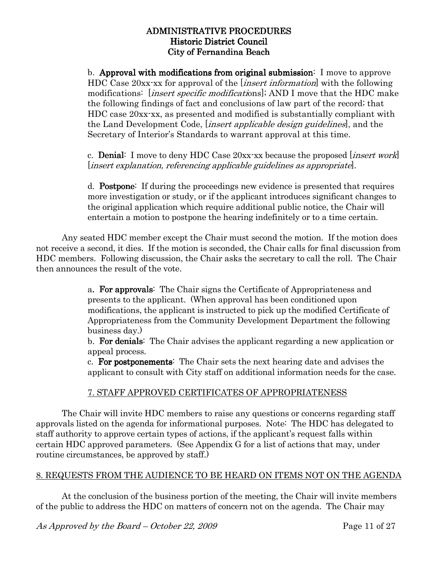b. Approval with modifications from original submission: I move to approve HDC Case 20xx-xx for approval of the *linsert information* with the following modifications: *linsert specific modifications*, AND I move that the HDC make the following findings of fact and conclusions of law part of the record; that HDC case 20xx-xx, as presented and modified is substantially compliant with the Land Development Code, *insert applicable design guidelines*, and the Secretary of Interior's Standards to warrant approval at this time.

c. **Denial:** I move to deny HDC Case  $20xx$  xx because the proposed *linsert work* [insert explanation, referencing applicable guidelines as appropriate].

d. **Postpone**: If during the proceedings new evidence is presented that requires more investigation or study, or if the applicant introduces significant changes to the original application which require additional public notice, the Chair will entertain a motion to postpone the hearing indefinitely or to a time certain.

 Any seated HDC member except the Chair must second the motion. If the motion does not receive a second, it dies. If the motion is seconded, the Chair calls for final discussion from HDC members. Following discussion, the Chair asks the secretary to call the roll. The Chair then announces the result of the vote.

> a. For approvals: The Chair signs the Certificate of Appropriateness and presents to the applicant. (When approval has been conditioned upon modifications, the applicant is instructed to pick up the modified Certificate of Appropriateness from the Community Development Department the following business day.)

b. For denials: The Chair advises the applicant regarding a new application or appeal process.

c. For postponements: The Chair sets the next hearing date and advises the applicant to consult with City staff on additional information needs for the case.

## 7. STAFF APPROVED CERTIFICATES OF APPROPRIATENESS

 The Chair will invite HDC members to raise any questions or concerns regarding staff approvals listed on the agenda for informational purposes. Note: The HDC has delegated to staff authority to approve certain types of actions, if the applicant's request falls within certain HDC approved parameters. (See Appendix G for a list of actions that may, under routine circumstances, be approved by staff.)

## 8. REQUESTS FROM THE AUDIENCE TO BE HEARD ON ITEMS NOT ON THE AGENDA

 At the conclusion of the business portion of the meeting, the Chair will invite members of the public to address the HDC on matters of concern not on the agenda. The Chair may

As Approved by the Board – October 22, 2009 Page 11 of 27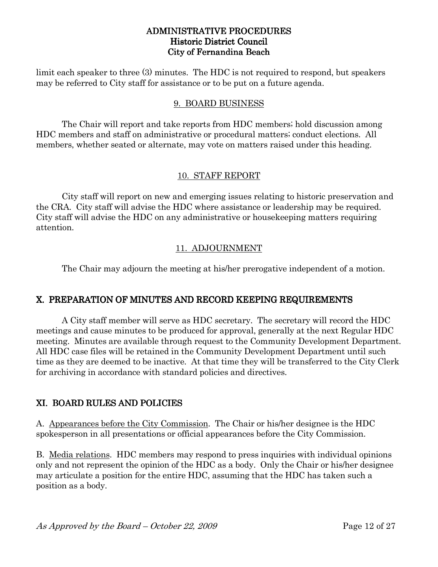limit each speaker to three (3) minutes. The HDC is not required to respond, but speakers may be referred to City staff for assistance or to be put on a future agenda.

## 9. BOARD BUSINESS

 The Chair will report and take reports from HDC members; hold discussion among HDC members and staff on administrative or procedural matters; conduct elections. All members, whether seated or alternate, may vote on matters raised under this heading.

## 10. STAFF REPORT

 City staff will report on new and emerging issues relating to historic preservation and the CRA. City staff will advise the HDC where assistance or leadership may be required. City staff will advise the HDC on any administrative or housekeeping matters requiring attention.

## 11. ADJOURNMENT

The Chair may adjourn the meeting at his/her prerogative independent of a motion.

## X. PREPARATION OF MINUTES AND RECORD KEEPING REQUIREMENTS

 A City staff member will serve as HDC secretary. The secretary will record the HDC meetings and cause minutes to be produced for approval, generally at the next Regular HDC meeting. Minutes are available through request to the Community Development Department. All HDC case files will be retained in the Community Development Department until such time as they are deemed to be inactive. At that time they will be transferred to the City Clerk for archiving in accordance with standard policies and directives.

## XI. BOARD RULES AND POLICIES

A. Appearances before the City Commission. The Chair or his/her designee is the HDC spokesperson in all presentations or official appearances before the City Commission.

B. Media relations. HDC members may respond to press inquiries with individual opinions only and not represent the opinion of the HDC as a body. Only the Chair or his/her designee may articulate a position for the entire HDC, assuming that the HDC has taken such a position as a body.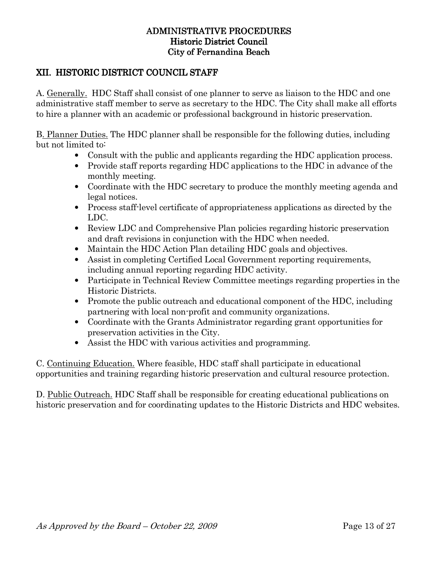## XII. HISTORIC DISTRICT COUNCIL STAFF

A. Generally. HDC Staff shall consist of one planner to serve as liaison to the HDC and one administrative staff member to serve as secretary to the HDC. The City shall make all efforts to hire a planner with an academic or professional background in historic preservation.

B. Planner Duties. The HDC planner shall be responsible for the following duties, including but not limited to:

- Consult with the public and applicants regarding the HDC application process.
- Provide staff reports regarding HDC applications to the HDC in advance of the monthly meeting.
- Coordinate with the HDC secretary to produce the monthly meeting agenda and legal notices.
- Process staff-level certificate of appropriateness applications as directed by the LDC.
- Review LDC and Comprehensive Plan policies regarding historic preservation and draft revisions in conjunction with the HDC when needed.
- Maintain the HDC Action Plan detailing HDC goals and objectives.
- Assist in completing Certified Local Government reporting requirements, including annual reporting regarding HDC activity.
- Participate in Technical Review Committee meetings regarding properties in the Historic Districts.
- Promote the public outreach and educational component of the HDC, including partnering with local non-profit and community organizations.
- Coordinate with the Grants Administrator regarding grant opportunities for preservation activities in the City.
- Assist the HDC with various activities and programming.

C. Continuing Education. Where feasible, HDC staff shall participate in educational opportunities and training regarding historic preservation and cultural resource protection.

D. Public Outreach. HDC Staff shall be responsible for creating educational publications on historic preservation and for coordinating updates to the Historic Districts and HDC websites.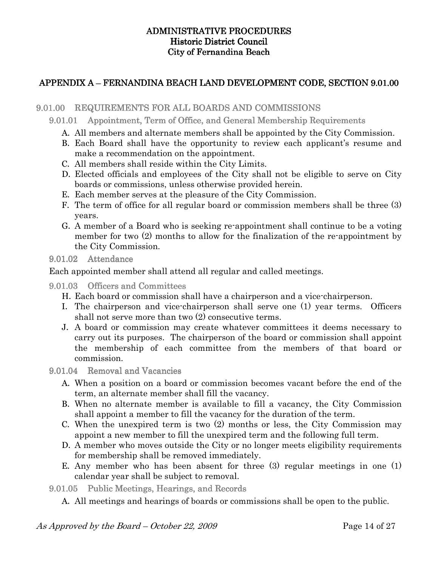## APPENDIX A – FERNANDINA BEACH LAND DEVELOPMENT CODE, SECTION 9.01.00

## 9.01.00 REQUIREMENTS FOR ALL BOARDS AND COMMISSIONS

9.01.01 Appointment, Term of Office, and General Membership Requirements

- A. All members and alternate members shall be appointed by the City Commission.
- B. Each Board shall have the opportunity to review each applicant's resume and make a recommendation on the appointment.
- C. All members shall reside within the City Limits.
- D. Elected officials and employees of the City shall not be eligible to serve on City boards or commissions, unless otherwise provided herein.
- E. Each member serves at the pleasure of the City Commission.
- F. The term of office for all regular board or commission members shall be three (3) years.
- G. A member of a Board who is seeking re-appointment shall continue to be a voting member for two (2) months to allow for the finalization of the re-appointment by the City Commission.

 $9.01.02$  Attendance

Each appointed member shall attend all regular and called meetings.

9.01.03 Officers and Committees

- H. Each board or commission shall have a chairperson and a vice-chairperson.
- I. The chairperson and vice-chairperson shall serve one (1) year terms. Officers shall not serve more than two (2) consecutive terms.
- J. A board or commission may create whatever committees it deems necessary to carry out its purposes. The chairperson of the board or commission shall appoint the membership of each committee from the members of that board or commission.

9.01.04 Removal and Vacancies

- A. When a position on a board or commission becomes vacant before the end of the term, an alternate member shall fill the vacancy.
- B. When no alternate member is available to fill a vacancy, the City Commission shall appoint a member to fill the vacancy for the duration of the term.
- C. When the unexpired term is two (2) months or less, the City Commission may appoint a new member to fill the unexpired term and the following full term.
- D. A member who moves outside the City or no longer meets eligibility requirements for membership shall be removed immediately.
- E. Any member who has been absent for three (3) regular meetings in one (1) calendar year shall be subject to removal.

9.01.05 Public Meetings, Hearings, and Records

A. All meetings and hearings of boards or commissions shall be open to the public.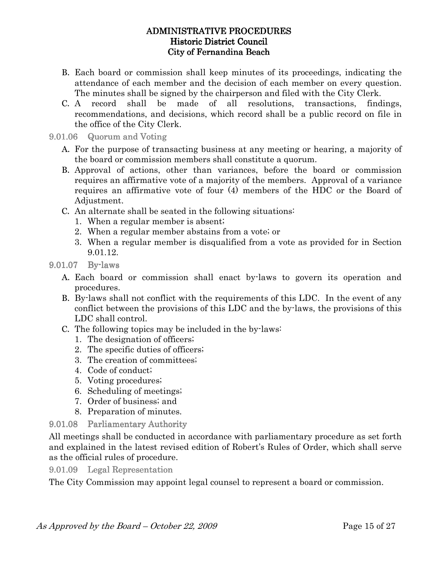- B. Each board or commission shall keep minutes of its proceedings, indicating the attendance of each member and the decision of each member on every question. The minutes shall be signed by the chairperson and filed with the City Clerk.
- C. A record shall be made of all resolutions, transactions, findings, recommendations, and decisions, which record shall be a public record on file in the office of the City Clerk.

#### 9.01.06 Quorum and Voting

- A. For the purpose of transacting business at any meeting or hearing, a majority of the board or commission members shall constitute a quorum.
- B. Approval of actions, other than variances, before the board or commission requires an affirmative vote of a majority of the members. Approval of a variance requires an affirmative vote of four (4) members of the HDC or the Board of Adjustment.
- C. An alternate shall be seated in the following situations:
	- 1. When a regular member is absent;
	- 2. When a regular member abstains from a vote; or
	- 3. When a regular member is disqualified from a vote as provided for in Section 9.01.12.
- 9.01.07 By-laws
	- A. Each board or commission shall enact by-laws to govern its operation and procedures.
	- B. By-laws shall not conflict with the requirements of this LDC. In the event of any conflict between the provisions of this LDC and the by-laws, the provisions of this LDC shall control.
	- C. The following topics may be included in the by-laws:
		- 1. The designation of officers;
		- 2. The specific duties of officers;
		- 3. The creation of committees;
		- 4. Code of conduct;
		- 5. Voting procedures;
		- 6. Scheduling of meetings;
		- 7. Order of business; and
		- 8. Preparation of minutes.

## 9.01.08 Parliamentary Authority

All meetings shall be conducted in accordance with parliamentary procedure as set forth and explained in the latest revised edition of Robert's Rules of Order, which shall serve as the official rules of procedure.

9.01.09 Legal Representation

The City Commission may appoint legal counsel to represent a board or commission.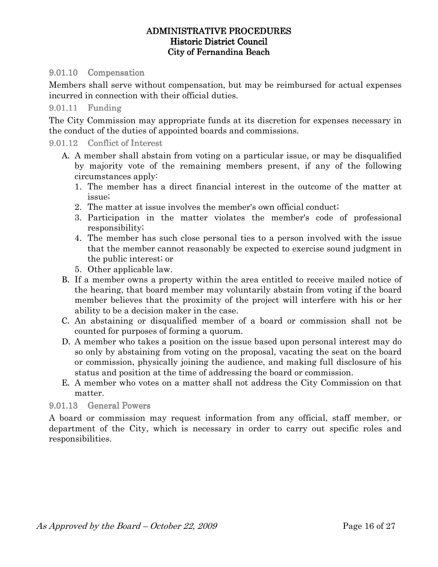#### 9.01.10 Compensation

Members shall serve without compensation, but may be reimbursed for actual expenses incurred in connection with their official duties.

#### 9.01.11 Funding

The City Commission may appropriate funds at its discretion for expenses necessary in the conduct of the duties of appointed boards and commissions.

#### 9.01.12 Conflict of Interest

- A. A member shall abstain from voting on a particular issue, or may be disqualified by majority vote of the remaining members present, if any of the following circumstances apply:
	- 1. The member has a direct financial interest in the outcome of the matter at issue;
	- 2. The matter at issue involves the member's own official conduct;
	- 3. Participation in the matter violates the member's code of professional responsibility;
	- 4. The member has such close personal ties to a person involved with the issue that the member cannot reasonably be expected to exercise sound judgment in the public interest; or
	- 5. Other applicable law.
- B. If a member owns a property within the area entitled to receive mailed notice of the hearing, that board member may voluntarily abstain from voting if the board member believes that the proximity of the project will interfere with his or her ability to be a decision maker in the case.
- C. An abstaining or disqualified member of a board or commission shall not be counted for purposes of forming a quorum.
- D. A member who takes a position on the issue based upon personal interest may do so only by abstaining from voting on the proposal, vacating the seat on the board or commission, physically joining the audience, and making full disclosure of his status and position at the time of addressing the board or commission.
- E. A member who votes on a matter shall not address the City Commission on that matter.

## 9.01.13 General Powers

A board or commission may request information from any official, staff member, or department of the City, which is necessary in order to carry out specific roles and responsibilities.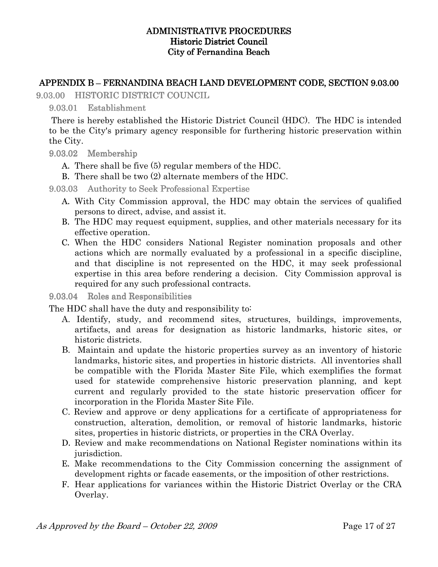## APPENDIX B – FERNANDINA BEACH LAND DEVELOPMENT CODE, SECTION 9.03.00

9.03.00 HISTORIC DISTRICT COUNCIL

## 9.03.01 Establishment

 There is hereby established the Historic District Council (HDC). The HDC is intended to be the City's primary agency responsible for furthering historic preservation within the City.

## 9.03.02 Membership

## A. There shall be five (5) regular members of the HDC.

B. There shall be two (2) alternate members of the HDC.

9.03.03 Authority to Seek Professional Expertise

- A. With City Commission approval, the HDC may obtain the services of qualified persons to direct, advise, and assist it.
- B. The HDC may request equipment, supplies, and other materials necessary for its effective operation.
- C. When the HDC considers National Register nomination proposals and other actions which are normally evaluated by a professional in a specific discipline, and that discipline is not represented on the HDC, it may seek professional expertise in this area before rendering a decision. City Commission approval is required for any such professional contracts.

## 9.03.04 Roles and Responsibilities

The HDC shall have the duty and responsibility to:

- A. Identify, study, and recommend sites, structures, buildings, improvements, artifacts, and areas for designation as historic landmarks, historic sites, or historic districts.
- B. Maintain and update the historic properties survey as an inventory of historic landmarks, historic sites, and properties in historic districts. All inventories shall be compatible with the Florida Master Site File, which exemplifies the format used for statewide comprehensive historic preservation planning, and kept current and regularly provided to the state historic preservation officer for incorporation in the Florida Master Site File.
- C. Review and approve or deny applications for a certificate of appropriateness for construction, alteration, demolition, or removal of historic landmarks, historic sites, properties in historic districts, or properties in the CRA Overlay.
- D. Review and make recommendations on National Register nominations within its jurisdiction.
- E. Make recommendations to the City Commission concerning the assignment of development rights or facade easements, or the imposition of other restrictions.
- F. Hear applications for variances within the Historic District Overlay or the CRA Overlay.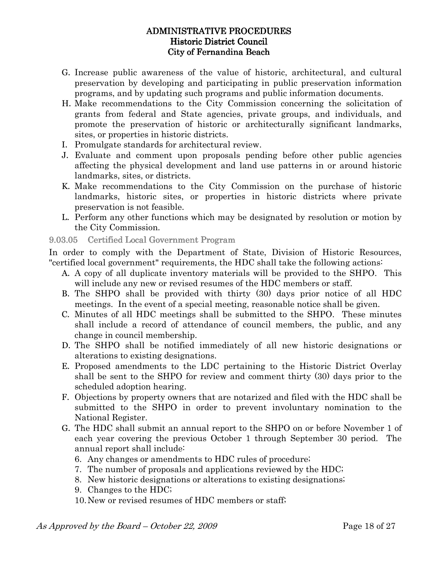- G. Increase public awareness of the value of historic, architectural, and cultural preservation by developing and participating in public preservation information programs, and by updating such programs and public information documents.
- H. Make recommendations to the City Commission concerning the solicitation of grants from federal and State agencies, private groups, and individuals, and promote the preservation of historic or architecturally significant landmarks, sites, or properties in historic districts.
- I. Promulgate standards for architectural review.
- J. Evaluate and comment upon proposals pending before other public agencies affecting the physical development and land use patterns in or around historic landmarks, sites, or districts.
- K. Make recommendations to the City Commission on the purchase of historic landmarks, historic sites, or properties in historic districts where private preservation is not feasible.
- L. Perform any other functions which may be designated by resolution or motion by the City Commission.
- 9.03.05 Certified Local Government Program

In order to comply with the Department of State, Division of Historic Resources, "certified local government" requirements, the HDC shall take the following actions:

- A. A copy of all duplicate inventory materials will be provided to the SHPO. This will include any new or revised resumes of the HDC members or staff.
- B. The SHPO shall be provided with thirty (30) days prior notice of all HDC meetings. In the event of a special meeting, reasonable notice shall be given.
- C. Minutes of all HDC meetings shall be submitted to the SHPO. These minutes shall include a record of attendance of council members, the public, and any change in council membership.
- D. The SHPO shall be notified immediately of all new historic designations or alterations to existing designations.
- E. Proposed amendments to the LDC pertaining to the Historic District Overlay shall be sent to the SHPO for review and comment thirty (30) days prior to the scheduled adoption hearing.
- F. Objections by property owners that are notarized and filed with the HDC shall be submitted to the SHPO in order to prevent involuntary nomination to the National Register.
- G. The HDC shall submit an annual report to the SHPO on or before November 1 of each year covering the previous October 1 through September 30 period. The annual report shall include:
	- 6. Any changes or amendments to HDC rules of procedure;
	- 7. The number of proposals and applications reviewed by the HDC;
	- 8. New historic designations or alterations to existing designations;
	- 9. Changes to the HDC;
	- 10.New or revised resumes of HDC members or staff;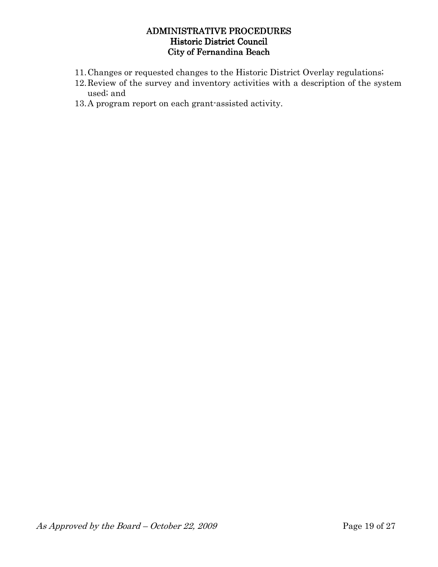- 11.Changes or requested changes to the Historic District Overlay regulations;
- 12.Review of the survey and inventory activities with a description of the system used; and
- 13.A program report on each grant-assisted activity.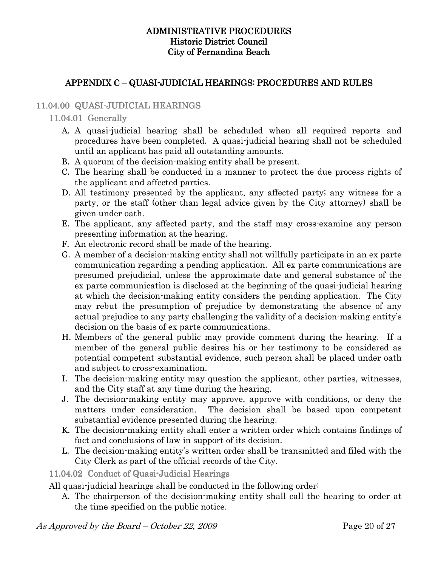## APPENDIX C – QUASI-JUDICIAL HEARINGS: PROCEDURES AND RULES

## 11.04.00 QUASI-JUDICIAL HEARINGS

#### $11.04.01$  Generally

- A. A quasi-judicial hearing shall be scheduled when all required reports and procedures have been completed. A quasi-judicial hearing shall not be scheduled until an applicant has paid all outstanding amounts.
- B. A quorum of the decision-making entity shall be present.
- C. The hearing shall be conducted in a manner to protect the due process rights of the applicant and affected parties.
- D. All testimony presented by the applicant, any affected party; any witness for a party, or the staff (other than legal advice given by the City attorney) shall be given under oath.
- E. The applicant, any affected party, and the staff may cross-examine any person presenting information at the hearing.
- F. An electronic record shall be made of the hearing.
- G. A member of a decision-making entity shall not willfully participate in an ex parte communication regarding a pending application. All ex parte communications are presumed prejudicial, unless the approximate date and general substance of the ex parte communication is disclosed at the beginning of the quasi-judicial hearing at which the decision-making entity considers the pending application. The City may rebut the presumption of prejudice by demonstrating the absence of any actual prejudice to any party challenging the validity of a decision-making entity's decision on the basis of ex parte communications.
- H. Members of the general public may provide comment during the hearing. If a member of the general public desires his or her testimony to be considered as potential competent substantial evidence, such person shall be placed under oath and subject to cross-examination.
- I. The decision-making entity may question the applicant, other parties, witnesses, and the City staff at any time during the hearing.
- J. The decision-making entity may approve, approve with conditions, or deny the matters under consideration. The decision shall be based upon competent substantial evidence presented during the hearing.
- K. The decision-making entity shall enter a written order which contains findings of fact and conclusions of law in support of its decision.
- L. The decision-making entity's written order shall be transmitted and filed with the City Clerk as part of the official records of the City.

## 11.04.02 Conduct of Quasi-Judicial Hearings

All quasi-judicial hearings shall be conducted in the following order:

A. The chairperson of the decision-making entity shall call the hearing to order at the time specified on the public notice.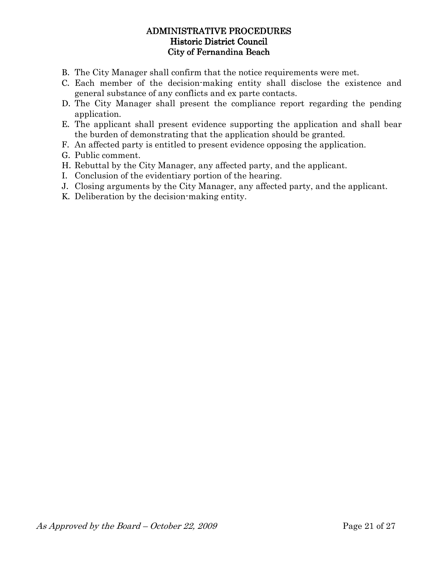- B. The City Manager shall confirm that the notice requirements were met.
- C. Each member of the decision-making entity shall disclose the existence and general substance of any conflicts and ex parte contacts.
- D. The City Manager shall present the compliance report regarding the pending application.
- E. The applicant shall present evidence supporting the application and shall bear the burden of demonstrating that the application should be granted.
- F. An affected party is entitled to present evidence opposing the application.
- G. Public comment.
- H. Rebuttal by the City Manager, any affected party, and the applicant.
- I. Conclusion of the evidentiary portion of the hearing.
- J. Closing arguments by the City Manager, any affected party, and the applicant.
- K. Deliberation by the decision-making entity.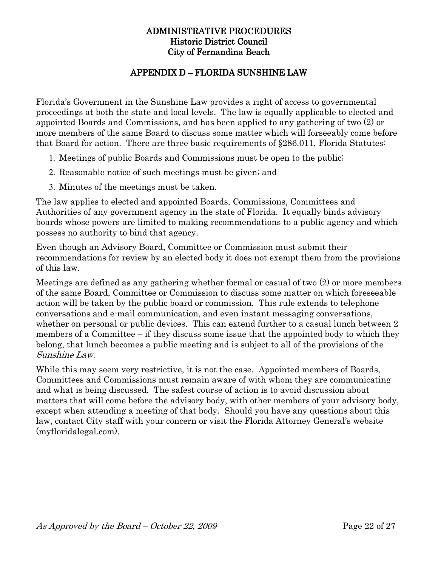## APPENDIX D – FLORIDA SUNSHINE LAW

Florida's Government in the Sunshine Law provides a right of access to governmental proceedings at both the state and local levels. The law is equally applicable to elected and appointed Boards and Commissions, and has been applied to any gathering of two (2) or more members of the same Board to discuss some matter which will forseeably come before that Board for action. There are three basic requirements of §286.011, Florida Statutes:

- 1. Meetings of public Boards and Commissions must be open to the public;
- 2. Reasonable notice of such meetings must be given; and
- 3. Minutes of the meetings must be taken.

The law applies to elected and appointed Boards, Commissions, Committees and Authorities of any government agency in the state of Florida. It equally binds advisory boards whose powers are limited to making recommendations to a public agency and which possess no authority to bind that agency.

Even though an Advisory Board, Committee or Commission must submit their recommendations for review by an elected body it does not exempt them from the provisions of this law.

Meetings are defined as any gathering whether formal or casual of two (2) or more members of the same Board, Committee or Commission to discuss some matter on which foreseeable action will be taken by the public board or commission. This rule extends to telephone conversations and e-mail communication, and even instant messaging conversations, whether on personal or public devices. This can extend further to a casual lunch between 2 members of a Committee – if they discuss some issue that the appointed body to which they belong, that lunch becomes a public meeting and is subject to all of the provisions of the Sunshine Law.

While this may seem very restrictive, it is not the case. Appointed members of Boards, Committees and Commissions must remain aware of with whom they are communicating and what is being discussed. The safest course of action is to avoid discussion about matters that will come before the advisory body, with other members of your advisory body, except when attending a meeting of that body. Should you have any questions about this law, contact City staff with your concern or visit the Florida Attorney General's website (myfloridalegal.com).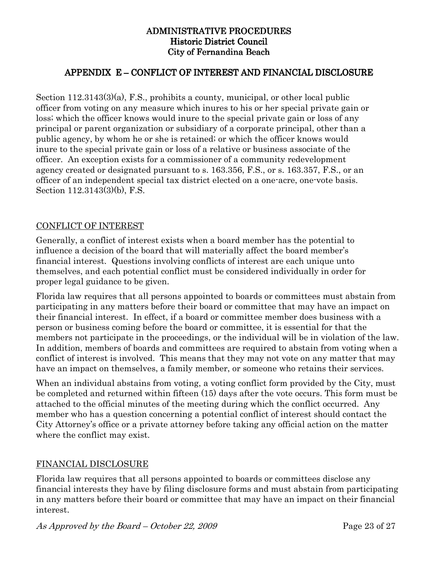## APPENDIX E – CONFLICT OF INTEREST AND FINANCIAL DISCLOSURE

Section 112.3143(3)(a), F.S., prohibits a county, municipal, or other local public officer from voting on any measure which inures to his or her special private gain or loss; which the officer knows would inure to the special private gain or loss of any principal or parent organization or subsidiary of a corporate principal, other than a public agency, by whom he or she is retained; or which the officer knows would inure to the special private gain or loss of a relative or business associate of the officer. An exception exists for a commissioner of a community redevelopment agency created or designated pursuant to s. 163.356, F.S., or s. 163.357, F.S., or an officer of an independent special tax district elected on a one-acre, one-vote basis. Section 112.3143(3)(b), F.S.

## CONFLICT OF INTEREST

Generally, a conflict of interest exists when a board member has the potential to influence a decision of the board that will materially affect the board member's financial interest. Questions involving conflicts of interest are each unique unto themselves, and each potential conflict must be considered individually in order for proper legal guidance to be given.

Florida law requires that all persons appointed to boards or committees must abstain from participating in any matters before their board or committee that may have an impact on their financial interest. In effect, if a board or committee member does business with a person or business coming before the board or committee, it is essential for that the members not participate in the proceedings, or the individual will be in violation of the law. In addition, members of boards and committees are required to abstain from voting when a conflict of interest is involved. This means that they may not vote on any matter that may have an impact on themselves, a family member, or someone who retains their services.

When an individual abstains from voting, a voting conflict form provided by the City, must be completed and returned within fifteen (15) days after the vote occurs. This form must be attached to the official minutes of the meeting during which the conflict occurred. Any member who has a question concerning a potential conflict of interest should contact the City Attorney's office or a private attorney before taking any official action on the matter where the conflict may exist.

## FINANCIAL DISCLOSURE

Florida law requires that all persons appointed to boards or committees disclose any financial interests they have by filing disclosure forms and must abstain from participating in any matters before their board or committee that may have an impact on their financial interest.

As Approved by the Board – October 22, 2009 Page 23 of 27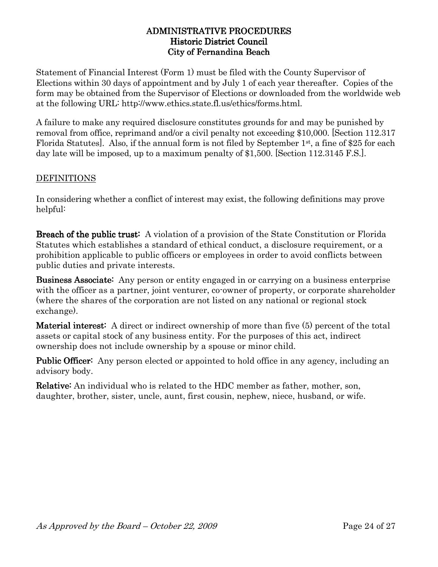Statement of Financial Interest (Form 1) must be filed with the County Supervisor of Elections within 30 days of appointment and by July 1 of each year thereafter. Copies of the form may be obtained from the Supervisor of Elections or downloaded from the worldwide web at the following URL: http://www.ethics.state.fl.us/ethics/forms.html.

A failure to make any required disclosure constitutes grounds for and may be punished by removal from office, reprimand and/or a civil penalty not exceeding \$10,000. [Section 112.317 Florida Statutes]. Also, if the annual form is not filed by September 1st, a fine of \$25 for each day late will be imposed, up to a maximum penalty of \$1,500. [Section 112.3145 F.S.].

## DEFINITIONS

In considering whether a conflict of interest may exist, the following definitions may prove helpful:

Breach of the public trust: A violation of a provision of the State Constitution or Florida Statutes which establishes a standard of ethical conduct, a disclosure requirement, or a prohibition applicable to public officers or employees in order to avoid conflicts between public duties and private interests.

Business Associate: Any person or entity engaged in or carrying on a business enterprise with the officer as a partner, joint venturer, co-owner of property, or corporate shareholder (where the shares of the corporation are not listed on any national or regional stock exchange).

**Material interest:** A direct or indirect ownership of more than five  $(5)$  percent of the total assets or capital stock of any business entity. For the purposes of this act, indirect ownership does not include ownership by a spouse or minor child.

**Public Officer:** Any person elected or appointed to hold office in any agency, including an advisory body.

**Relative:** An individual who is related to the HDC member as father, mother, son, daughter, brother, sister, uncle, aunt, first cousin, nephew, niece, husband, or wife.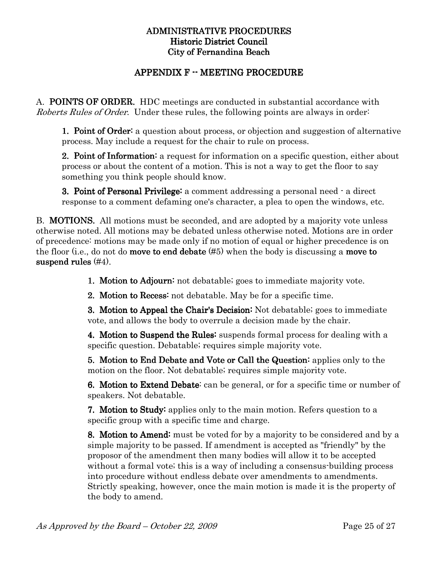## APPENDIX F -- MEETING PROCEDURE

A. POINTS OF ORDER. HDC meetings are conducted in substantial accordance with Roberts Rules of Order. Under these rules, the following points are always in order.

1. Point of Order: a question about process, or objection and suggestion of alternative process. May include a request for the chair to rule on process.

**2. Point of Information:** a request for information on a specific question, either about process or about the content of a motion. This is not a way to get the floor to say something you think people should know.

3. Point of Personal Privilege: a comment addressing a personal need  $\cdot$  a direct response to a comment defaming one's character, a plea to open the windows, etc.

B. MOTIONS. All motions must be seconded, and are adopted by a majority vote unless otherwise noted. All motions may be debated unless otherwise noted. Motions are in order of precedence: motions may be made only if no motion of equal or higher precedence is on the floor (i.e., do not do **move to end debate**  $(\#5)$  when the body is discussing a **move to** suspend rules  $(\#4)$ .

1. Motion to Adjourn: not debatable; goes to immediate majority vote.

**2. Motion to Recess:** not debatable. May be for a specific time.

3. Motion to Appeal the Chair's Decision: Not debatable; goes to immediate vote, and allows the body to overrule a decision made by the chair.

4. Motion to Suspend the Rules: suspends formal process for dealing with a specific question. Debatable; requires simple majority vote.

5. Motion to End Debate and Vote or Call the Question: applies only to the motion on the floor. Not debatable; requires simple majority vote.

6. Motion to Extend Debate: can be general, or for a specific time or number of speakers. Not debatable.

7. Motion to Study: applies only to the main motion. Refers question to a. specific group with a specific time and charge.

8. Motion to Amend: must be voted for by a majority to be considered and by a simple majority to be passed. If amendment is accepted as "friendly" by the proposor of the amendment then many bodies will allow it to be accepted without a formal vote; this is a way of including a consensus-building process into procedure without endless debate over amendments to amendments. Strictly speaking, however, once the main motion is made it is the property of the body to amend.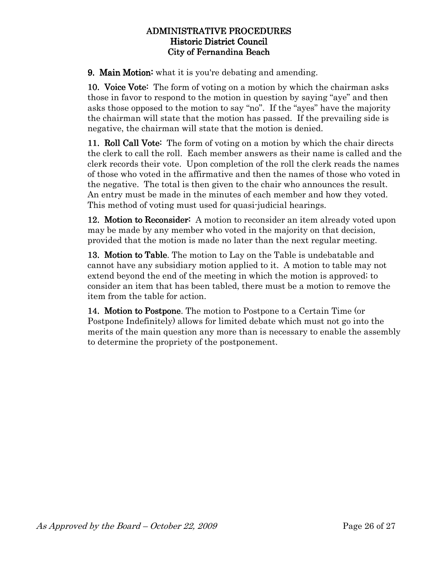9. Main Motion: what it is you're debating and amending.

10. Voice Vote: The form of voting on a motion by which the chairman asks those in favor to respond to the motion in question by saying "aye" and then asks those opposed to the motion to say "no". If the "ayes" have the majority the chairman will state that the motion has passed. If the prevailing side is negative, the chairman will state that the motion is denied.

11. **Roll Call Vote:** The form of voting on a motion by which the chair directs the clerk to call the roll. Each member answers as their name is called and the clerk records their vote. Upon completion of the roll the clerk reads the names of those who voted in the affirmative and then the names of those who voted in the negative. The total is then given to the chair who announces the result. An entry must be made in the minutes of each member and how they voted. This method of voting must used for quasi-judicial hearings.

12. Motion to Reconsider: A motion to reconsider an item already voted upon may be made by any member who voted in the majority on that decision, provided that the motion is made no later than the next regular meeting.

13. Motion to Table. The motion to Lay on the Table is undebatable and cannot have any subsidiary motion applied to it. A motion to table may not extend beyond the end of the meeting in which the motion is approved; to consider an item that has been tabled, there must be a motion to remove the item from the table for action.

14. Motion to Postpone. The motion to Postpone to a Certain Time (or Postpone Indefinitely) allows for limited debate which must not go into the merits of the main question any more than is necessary to enable the assembly to determine the propriety of the postponement.